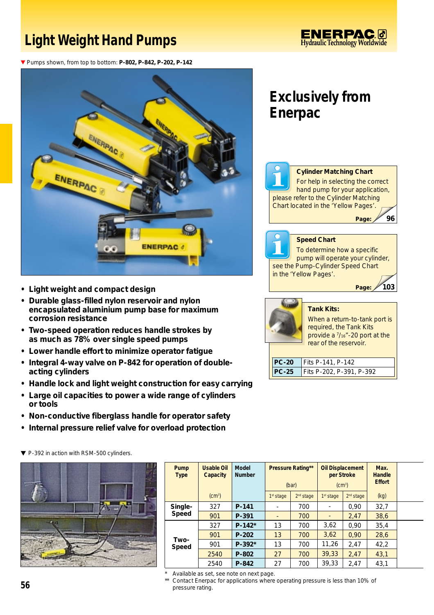## **Light Weight Hand Pumps**

<u>ENERPAC0</u> **Hydraulic Technology Worldwide** 

▼ Pumps shown, from top to bottom: **P-802, P-842, P-202, P-142** 



- **Light weight and compact design**
- **Durable glass-filled nylon reservoir and nylon encapsulated aluminium pump base for maximum corrosion resistance**
- **Two-speed operation reduces handle strokes by as much as 78% over single speed pumps**
- **Lower handle effort to minimize operator fatigue**
- **Integral 4-way valve on P-842 for operation of doubleacting cylinders**
- **Handle lock and light weight construction for easy carrying**
- **Large oil capacities to power a wide range of cylinders or tools**
- **Non-conductive fiberglass handle for operator safety**
- **Internal pressure relief valve for overload protection**



| Pump<br><b>Type</b> | <b>Usable Oil</b><br><b>Capacity</b> | <b>Model</b><br><b>Number</b> | <b>Pressure Rating**</b><br>(bar) |                       | <b>Oil Displacement</b><br>per Stroke<br>(cm <sup>3</sup> ) |                       | Max.<br>Handle<br><b>Effort</b> |  |
|---------------------|--------------------------------------|-------------------------------|-----------------------------------|-----------------------|-------------------------------------------------------------|-----------------------|---------------------------------|--|
|                     | (cm <sup>3</sup> )                   |                               | 1 <sup>st</sup> stage             | 2 <sup>nd</sup> stage | 1 <sup>st</sup> stage                                       | 2 <sup>nd</sup> stage | (kq)                            |  |
| Single-<br>Speed    | 327                                  | P-141                         | ۰                                 | 700                   |                                                             | 0.90                  | 32,7                            |  |
|                     | 901                                  | P-391                         |                                   | 700                   |                                                             | 2,47                  | 38,6                            |  |
| Two-<br>Speed       | 327                                  | $P-142*$                      | 13                                | 700                   | 3,62                                                        | 0.90                  | 35,4                            |  |
|                     | 901                                  | $P-202$                       | 13                                | 700                   | 3,62                                                        | 0.90                  | 28,6                            |  |
|                     | 901                                  | $P-392*$                      | 13                                | 700                   | 11,26                                                       | 2.47                  | 42,2                            |  |
|                     | 2540                                 | P-802                         | 27                                | 700                   | 39,33                                                       | 2.47                  | 43,1                            |  |
|                     | 2540                                 | P-842                         | 27                                | 700                   | 39,33                                                       | 2.47                  | 43,1                            |  |

Available as set, see note on next page.

\*\* Contact Enerpac for applications where operating pressure is less than 10% of pressure rating.

## **Exclusively from Enerpac**